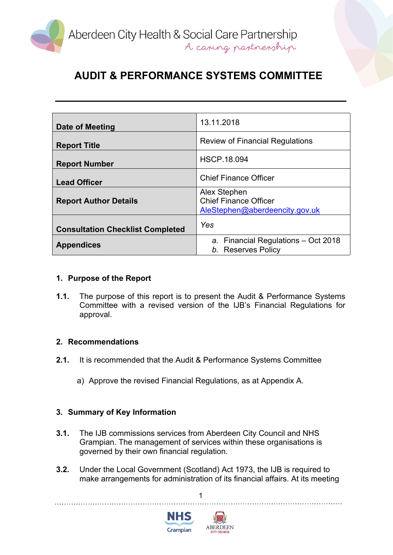

# **AUDIT & PERFORMANCE SYSTEMS COMMITTEE**

| Date of Meeting                         | 13.11.2018                                                                     |
|-----------------------------------------|--------------------------------------------------------------------------------|
| <b>Report Title</b>                     | <b>Review of Financial Regulations</b>                                         |
| <b>Report Number</b>                    | <b>HSCP.18.094</b>                                                             |
| <b>Lead Officer</b>                     | <b>Chief Finance Officer</b>                                                   |
| <b>Report Author Details</b>            | Alex Stephen<br><b>Chief Finance Officer</b><br>AleStephen@aberdeencity.gov.uk |
| <b>Consultation Checklist Completed</b> | Yes                                                                            |
| <b>Appendices</b>                       | a. Financial Regulations - Oct 2018<br>b. Reserves Policy                      |

### **1. Purpose of the Report**

**1.1.** The purpose of this report is to present the Audit & Performance Systems Committee with a revised version of the IJB's Financial Regulations for approval.

#### **2. Recommendations**

- **2.1.** It is recommended that the Audit & Performance Systems Committee
	- a) Approve the revised Financial Regulations, as at Appendix A.

### **3. Summary of Key Information**

- **3.1.** The IJB commissions services from Aberdeen City Council and NHS Grampian. The management of services within these organisations is governed by their own financial regulation.
- **3.2.** Under the Local Government (Scotland) Act 1973, the IJB is required to make arrangements for administration of its financial affairs. At its meeting

1



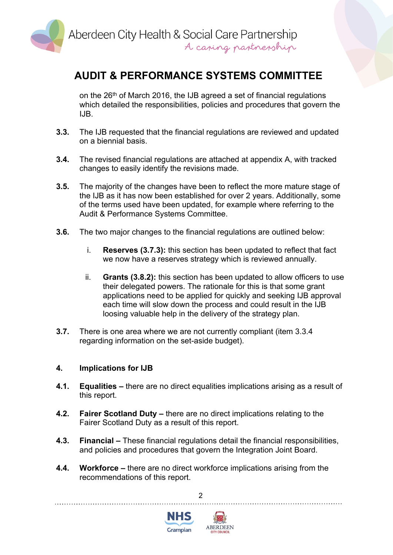

## **AUDIT & PERFORMANCE SYSTEMS COMMITTEE**

on the 26th of March 2016, the IJB agreed a set of financial regulations which detailed the responsibilities, policies and procedures that govern the IJB.

- **3.3.** The IJB requested that the financial regulations are reviewed and updated on a biennial basis.
- **3.4.** The revised financial regulations are attached at appendix A, with tracked changes to easily identify the revisions made.
- **3.5.** The majority of the changes have been to reflect the more mature stage of the IJB as it has now been established for over 2 years. Additionally, some of the terms used have been updated, for example where referring to the Audit & Performance Systems Committee.
- **3.6.** The two major changes to the financial regulations are outlined below:
	- i. **Reserves (3.7.3):** this section has been updated to reflect that fact we now have a reserves strategy which is reviewed annually.
	- ii. **Grants (3.8.2):** this section has been updated to allow officers to use their delegated powers. The rationale for this is that some grant applications need to be applied for quickly and seeking IJB approval each time will slow down the process and could result in the IJB loosing valuable help in the delivery of the strategy plan.
- **3.7.** There is one area where we are not currently compliant (item 3.3.4 regarding information on the set-aside budget).

### **4. Implications for IJB**

- **4.1. Equalities –** there are no direct equalities implications arising as a result of this report.
- **4.2. Fairer Scotland Duty –** there are no direct implications relating to the Fairer Scotland Duty as a result of this report.
- **4.3. Financial –** These financial regulations detail the financial responsibilities, and policies and procedures that govern the Integration Joint Board.
- **4.4. Workforce –** there are no direct workforce implications arising from the recommendations of this report.

2